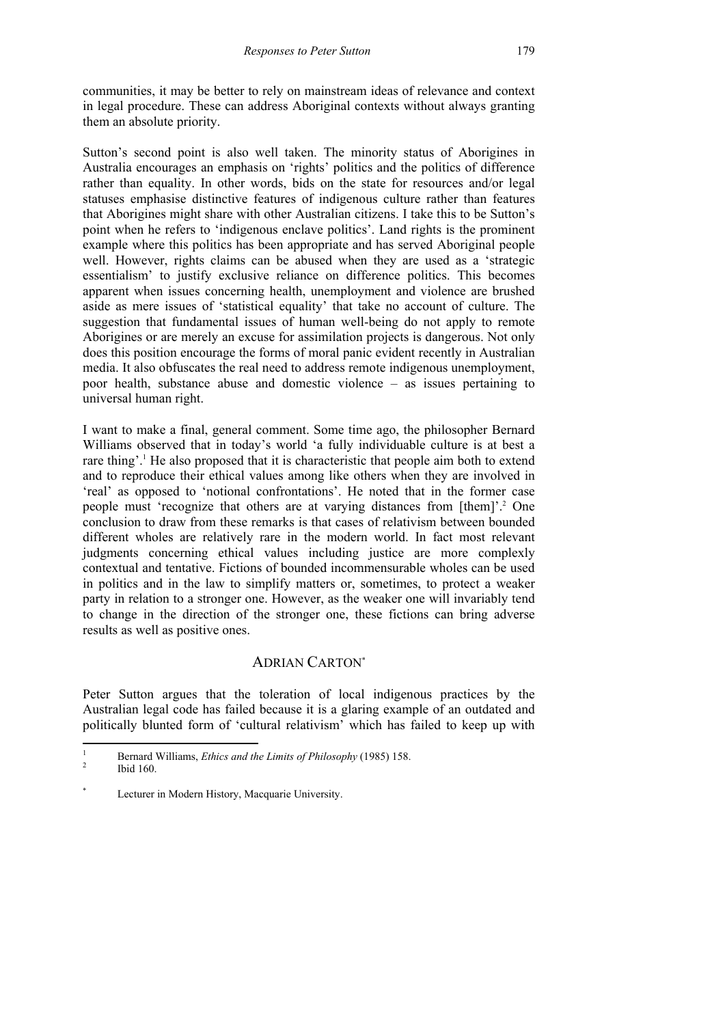communities, it may be better to rely on mainstream ideas of relevance and context in legal procedure. These can address Aboriginal contexts without always granting them an absolute priority.

Sutton's second point is also well taken. The minority status of Aborigines in Australia encourages an emphasis on 'rights' politics and the politics of difference rather than equality. In other words, bids on the state for resources and/or legal statuses emphasise distinctive features of indigenous culture rather than features that Aborigines might share with other Australian citizens. I take this to be Sutton's point when he refers to 'indigenous enclave politics'. Land rights is the prominent example where this politics has been appropriate and has served Aboriginal people well. However, rights claims can be abused when they are used as a 'strategic essentialism' to justify exclusive reliance on difference politics. This becomes apparent when issues concerning health, unemployment and violence are brushed aside as mere issues of 'statistical equality' that take no account of culture. The suggestion that fundamental issues of human well-being do not apply to remote Aborigines or are merely an excuse for assimilation projects is dangerous. Not only does this position encourage the forms of moral panic evident recently in Australian media. It also obfuscates the real need to address remote indigenous unemployment, poor health, substance abuse and domestic violence – as issues pertaining to universal human right.

I want to make a final, general comment. Some time ago, the philosopher Bernard Williams observed that in today's world 'a fully individuable culture is at best a rare thing'.<sup>1</sup> He also proposed that it is characteristic that people aim both to extend and to reproduce their ethical values among like others when they are involved in 'real' as opposed to 'notional confrontations'. He noted that in the former case people must 'recognize that others are at varying distances from [them]'.<sup>2</sup> One conclusion to draw from these remarks is that cases of relativism between bounded different wholes are relatively rare in the modern world. In fact most relevant judgments concerning ethical values including justice are more complexly contextual and tentative. Fictions of bounded incommensurable wholes can be used in politics and in the law to simplify matters or, sometimes, to protect a weaker party in relation to a stronger one. However, as the weaker one will invariably tend to change in the direction of the stronger one, these fictions can bring adverse results as well as positive ones.

## ADRIAN CARTON\*

Peter Sutton argues that the toleration of local indigenous practices by the Australian legal code has failed because it is a glaring example of an outdated and politically blunted form of 'cultural relativism' which has failed to keep up with

<sup>1</sup> <sup>1</sup><br>Bernard Williams, *Ethics and the Limits of Philosophy* (1985) 158.

Ibid 160.

<sup>\*</sup> Lecturer in Modern History, Macquarie University.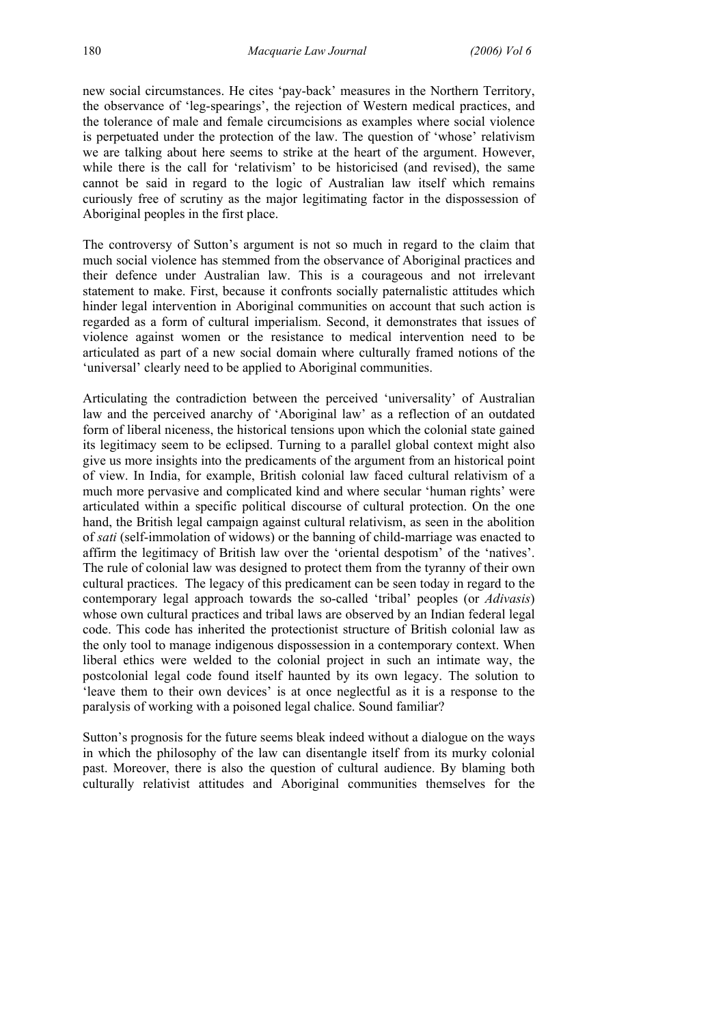new social circumstances. He cites 'pay-back' measures in the Northern Territory, the observance of 'leg-spearings', the rejection of Western medical practices, and the tolerance of male and female circumcisions as examples where social violence is perpetuated under the protection of the law. The question of 'whose' relativism we are talking about here seems to strike at the heart of the argument. However, while there is the call for 'relativism' to be historicised (and revised), the same cannot be said in regard to the logic of Australian law itself which remains curiously free of scrutiny as the major legitimating factor in the dispossession of Aboriginal peoples in the first place.

The controversy of Sutton's argument is not so much in regard to the claim that much social violence has stemmed from the observance of Aboriginal practices and their defence under Australian law. This is a courageous and not irrelevant statement to make. First, because it confronts socially paternalistic attitudes which hinder legal intervention in Aboriginal communities on account that such action is regarded as a form of cultural imperialism. Second, it demonstrates that issues of violence against women or the resistance to medical intervention need to be articulated as part of a new social domain where culturally framed notions of the 'universal' clearly need to be applied to Aboriginal communities.

Articulating the contradiction between the perceived 'universality' of Australian law and the perceived anarchy of 'Aboriginal law' as a reflection of an outdated form of liberal niceness, the historical tensions upon which the colonial state gained its legitimacy seem to be eclipsed. Turning to a parallel global context might also give us more insights into the predicaments of the argument from an historical point of view. In India, for example, British colonial law faced cultural relativism of a much more pervasive and complicated kind and where secular 'human rights' were articulated within a specific political discourse of cultural protection. On the one hand, the British legal campaign against cultural relativism, as seen in the abolition of *sati* (self-immolation of widows) or the banning of child-marriage was enacted to affirm the legitimacy of British law over the 'oriental despotism' of the 'natives'. The rule of colonial law was designed to protect them from the tyranny of their own cultural practices. The legacy of this predicament can be seen today in regard to the contemporary legal approach towards the so-called 'tribal' peoples (or *Adivasis*) whose own cultural practices and tribal laws are observed by an Indian federal legal code. This code has inherited the protectionist structure of British colonial law as the only tool to manage indigenous dispossession in a contemporary context. When liberal ethics were welded to the colonial project in such an intimate way, the postcolonial legal code found itself haunted by its own legacy. The solution to 'leave them to their own devices' is at once neglectful as it is a response to the paralysis of working with a poisoned legal chalice. Sound familiar?

Sutton's prognosis for the future seems bleak indeed without a dialogue on the ways in which the philosophy of the law can disentangle itself from its murky colonial past. Moreover, there is also the question of cultural audience. By blaming both culturally relativist attitudes and Aboriginal communities themselves for the